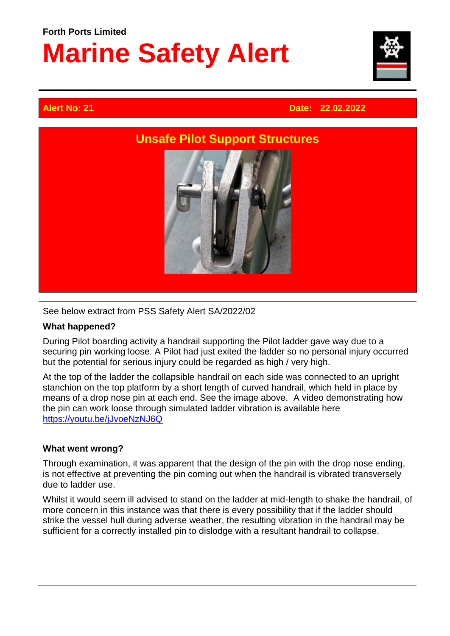## **Forth Ports Limited Marine Safety Alert**



### **Alert No: 21 Date: 22.02.2022**



#### See below extract from PSS Safety Alert SA/2022/02

#### **What happened?**

During Pilot boarding activity a handrail supporting the Pilot ladder gave way due to a securing pin working loose. A Pilot had just exited the ladder so no personal injury occurred but the potential for serious injury could be regarded as high / very high.

At the top of the ladder the collapsible handrail on each side was connected to an upright stanchion on the top platform by a short length of curved handrail, which held in place by means of a drop nose pin at each end. See the image above. A video demonstrating how the pin can work loose through simulated ladder vibration is available here [https://youtu.be/jJvoeNzNJ6Q](https://protect-eu.mimecast.com/s/tJQOC36qxupE5WVUgeUzb?domain=youtu.be)

#### **What went wrong?**

Through examination, it was apparent that the design of the pin with the drop nose ending, is not effective at preventing the pin coming out when the handrail is vibrated transversely due to ladder use.

Whilst it would seem ill advised to stand on the ladder at mid-length to shake the handrail, of more concern in this instance was that there is every possibility that if the ladder should strike the vessel hull during adverse weather, the resulting vibration in the handrail may be sufficient for a correctly installed pin to dislodge with a resultant handrail to collapse.